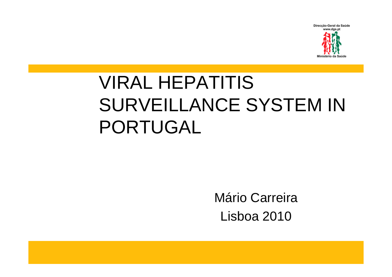

### VIRAL HEPATITIS SURVEILLANCE SYSTEM IN PORTUGAL

Mário CarreiraLisboa 2010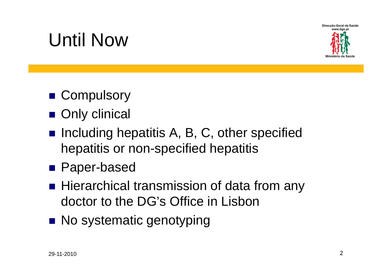

### Until Now

- Compulsory
- **Only clinical**
- **Including hepatitis A, B, C, other specified** hepatitis or non-specified hepatitis
- Paper-based
- Hierarchical transmission of data from any doctor to the DG's Office in Lisbon
- No systematic genotyping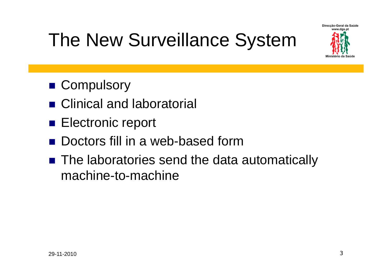

### The New Surveillance System

- Compulsory
- Clinical and laboratorial
- **Electronic report**
- $\frac{1}{2}$ Doctors fill in a web-based form
- The laboratories send the data automatically machine-to-machine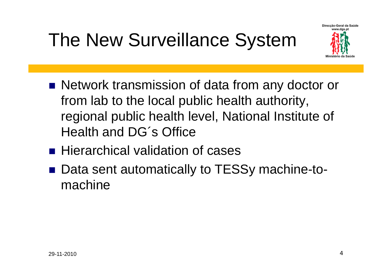### The New Surveillance System



- Network transmission of data from any doctor or from lab to the local public health authority, regional public health level, National Institute of Health and DG´s Office
- **Hierarchical validation of cases**
- Data sent automatically to TESSy machine-tomachine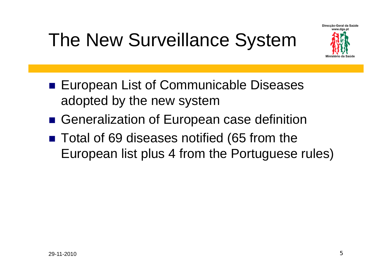### The New Surveillance System



- **European List of Communicable Diseases** adopted by the new system
- Generalization of European case definition
- Total of 69 diseases notified (65 from the European list plus 4 from the Portuguese rules)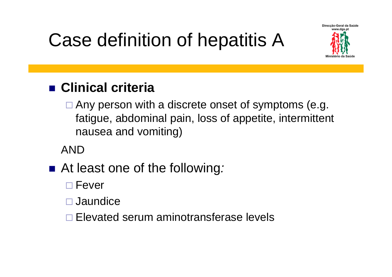Case definition of hepatitis A



#### **Clinical criteria**

□ Any person with a discrete onset of symptoms (e.g. fatigue, abdominal pain, loss of appetite, intermittent nausea and vomiting)

AND

- At least one of the following.
	- □ Fever
	- □ Jaundice
	- □ Elevated serum aminotransferase levels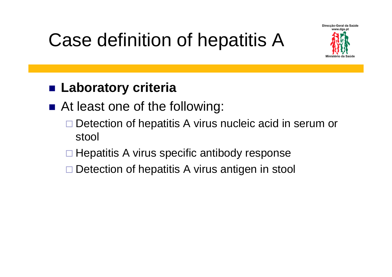Case definition of hepatitis A



#### **■ Laboratory criteria**

- At least one of the following:
	- $\Box$  Detection of hepatitis A virus nucleic acid in serum or stool
	- □ Hepatitis A virus specific antibody response
	- □ Detection of hepatitis A virus antigen in stool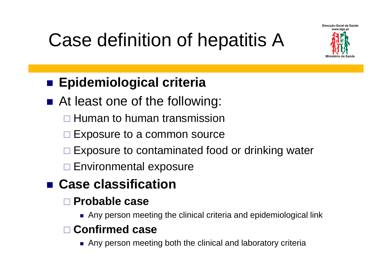Case definition of hepatitis A



#### **Epidemiological criteria**

- At least one of the following:
	- **□ Human to human transmission**
	- □ Exposure to a common source
	- □ Exposure to contaminated food or drinking water
	- **□ Environmental exposure**

#### **Case classification**

#### **Probable case**

Any person meeting the clinical criteria and epidemiological link

#### **Confirmed case**

Any person meeting both the clinical and laboratory criteria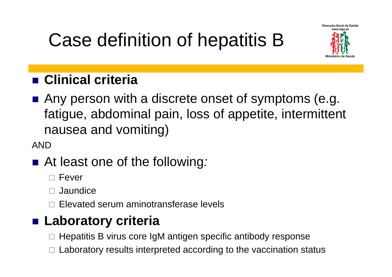## Case definition of hepatitis B



#### **Clinical criteria**

■ Any person with a discrete onset of symptoms (e.g. fatigue, abdominal pain, loss of appetite, intermittent nausea and vomiting)

AND

#### ■ At least one of the following.

 $\Box$ Fever

 $\Box$ Jaundice

 $\Box$ Elevated serum aminotransferase levels

#### **Laboratory criteria**

 $\Box$ Hepatitis B virus core IgM antigen specific antibody response

 $\Box$ Laboratory results interpreted according to the vaccination status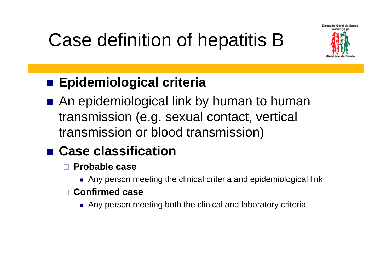### Case definition of hepatitis B



### **Epidemiological criteria**

■ An epidemiological link by human to human transmission (e.g. sexual contact, vertical transmission or blood transmission)

#### **Case classification**

- $\Box$  **Probable case**
	- Any person meeting the clinical criteria and epidemiological link

#### $\Box$ **Confirmed case**

Any person meeting both the clinical and laboratory criteria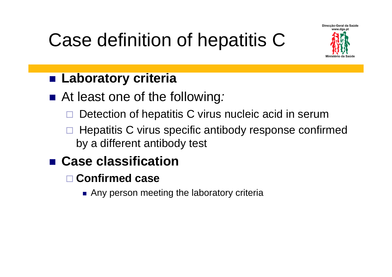### Case definition of hepatitis C



#### **Laboratory criteria**

- At least one of the following.
	- $\Box$ Detection of hepatitis C virus nucleic acid in serum
	- $\Box$  Hepatitis C virus specific antibody response confirmed by a different antibody test

#### **Case classification**

- **Confirmed case**
	- Any person meeting the laboratory criteria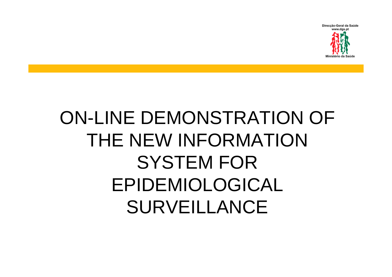

### ON-LINE DEMONSTRATION OF THE NEW INFORMATION SYSTEM FOR EPIDEMIOLOGICAL SURVEILLANCE